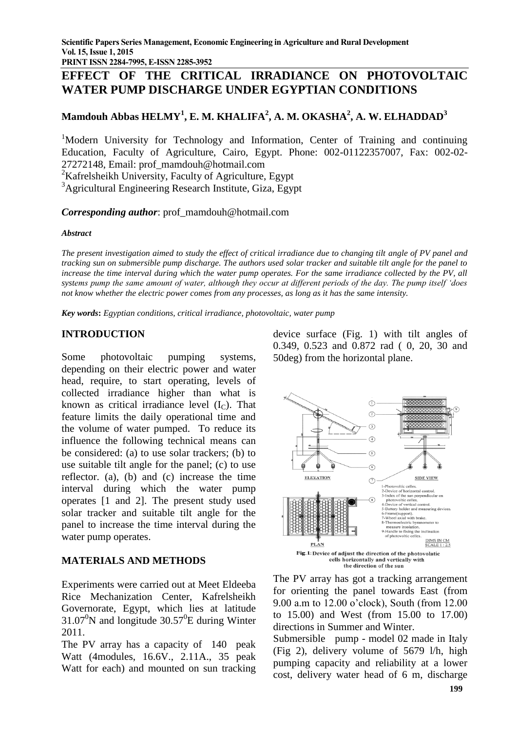**PRINT ISSN 2284-7995, E-ISSN 2285-3952** 

# **EFFECT OF THE CRITICAL IRRADIANCE ON PHOTOVOLTAIC WATER PUMP DISCHARGE UNDER EGYPTIAN CONDITIONS**

## **Mamdouh Abbas HELMY<sup>1</sup> , E. M. KHALIFA<sup>2</sup> , A. M. OKASHA<sup>2</sup> , A. W. ELHADDAD<sup>3</sup>**

<sup>1</sup>Modern University for Technology and Information, Center of Training and continuing Education, Faculty of Agriculture, Cairo, Egypt. Phone: 002-01122357007, Fax: 002-02- 27272148, Email: prof\_mamdouh@hotmail.com

 ${}^{2}$ Kafrelsheikh University, Faculty of Agriculture, Egypt

<sup>3</sup>Agricultural Engineering Research Institute, Giza, Egypt

*Corresponding author*: prof\_mamdouh@hotmail.com

#### *Abstract*

*The present investigation aimed to study the effect of critical irradiance due to changing tilt angle of PV panel and tracking sun on submersible pump discharge. The authors used solar tracker and suitable tilt angle for the panel to increase the time interval during which the water pump operates. For the same irradiance collected by the PV, all systems pump the same amount of water, although they occur at different periods of the day. The pump itself 'does not know whether the electric power comes from any processes, as long as it has the same intensity.*

*Key words***:** *Egyptian conditions, critical irradiance, photovoltaic, water pump*

## **INTRODUCTION**

Some photovoltaic pumping systems, depending on their electric power and water head, require, to start operating, levels of collected irradiance higher than what is known as critical irradiance level  $(I_C)$ . That feature limits the daily operational time and the volume of water pumped. To reduce its influence the following technical means can be considered: (a) to use solar trackers; (b) to use suitable tilt angle for the panel; (c) to use reflector. (a), (b) and (c) increase the time interval during which the water pump operates [1 and 2]. The present study used solar tracker and suitable tilt angle for the panel to increase the time interval during the water pump operates.

## **MATERIALS AND METHODS**

Experiments were carried out at Meet Eldeeba Rice Mechanization Center, Kafrelsheikh Governorate, Egypt, which lies at latitude  $31.07^{\circ}$ N and longitude  $30.57^{\circ}$ E during Winter 2011.

The PV array has a capacity of 140 peak Watt (4modules, 16.6V., 2.11A., 35 peak Watt for each) and mounted on sun tracking device surface (Fig. 1) with tilt angles of 0.349, 0.523 and 0.872 rad ( 0, 20, 30 and 50deg) from the horizontal plane.



The PV array has got a tracking arrangement for orienting the panel towards East (from 9.00 a.m to 12.00 o'clock), South (from 12.00 to 15.00) and West (from 15.00 to 17.00) directions in Summer and Winter.

Submersible pump - model 02 made in Italy (Fig 2), delivery volume of 5679 l/h, high pumping capacity and reliability at a lower cost, delivery water head of 6 m, discharge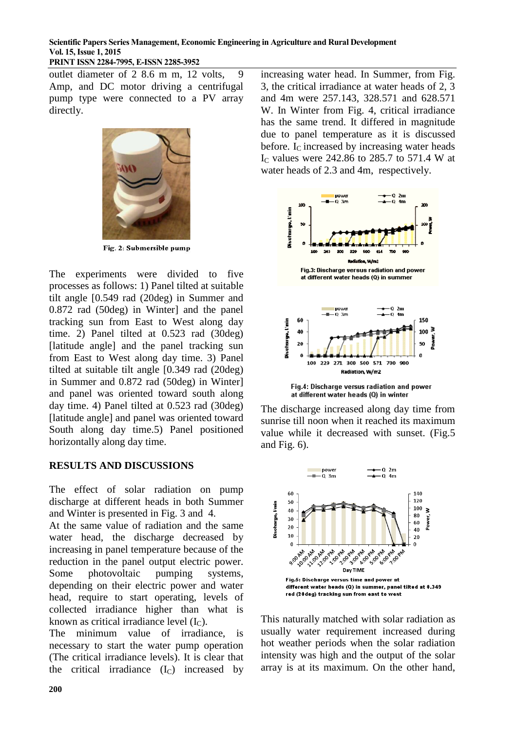## **Scientific Papers Series Management, Economic Engineering in Agriculture and Rural Development Vol. 15, Issue 1, 2015**

#### **PRINT ISSN 2284-7995, E-ISSN 2285-3952**

outlet diameter of 2 8.6 m m, 12 volts, 9 Amp, and DC motor driving a centrifugal pump type were connected to a PV array directly.



Fig. 2: Submersible pump

The experiments were divided to five processes as follows: 1) Panel tilted at suitable tilt angle [0.549 rad (20deg) in Summer and 0.872 rad (50deg) in Winter] and the panel tracking sun from East to West along day time. 2) Panel tilted at 0.523 rad (30deg) [latitude angle] and the panel tracking sun from East to West along day time. 3) Panel tilted at suitable tilt angle [0.349 rad (20deg) in Summer and 0.872 rad (50deg) in Winter] and panel was oriented toward south along day time. 4) Panel tilted at 0.523 rad (30deg) [latitude angle] and panel was oriented toward South along day time.5) Panel positioned horizontally along day time.

## **RESULTS AND DISCUSSIONS**

The effect of solar radiation on pump discharge at different heads in both Summer and Winter is presented in Fig. 3 and 4.

At the same value of radiation and the same water head, the discharge decreased by increasing in panel temperature because of the reduction in the panel output electric power. Some photovoltaic pumping systems, depending on their electric power and water head, require to start operating, levels of collected irradiance higher than what is known as critical irradiance level  $(I_C)$ .

The minimum value of irradiance, is necessary to start the water pump operation (The critical irradiance levels). It is clear that the critical irradiance  $(I_C)$  increased by

increasing water head. In Summer, from Fig. 3, the critical irradiance at water heads of 2, 3 and 4m were 257.143, 328.571 and 628.571 W. In Winter from Fig. 4, critical irradiance has the same trend. It differed in magnitude due to panel temperature as it is discussed before. I<sub>C</sub> increased by increasing water heads I<sup>C</sup> values were 242.86 to 285.7 to 571.4 W at water heads of 2.3 and 4m, respectively.



The discharge increased along day time from sunrise till noon when it reached its maximum value while it decreased with sunset. (Fig.5 and Fig. 6).



This naturally matched with solar radiation as usually water requirement increased during hot weather periods when the solar radiation intensity was high and the output of the solar array is at its maximum. On the other hand,